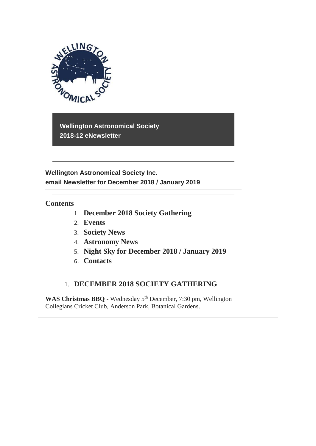

**Wellington Astronomical Society 2018-12 eNewsletter**

**Wellington Astronomical Society Inc. email Newsletter for December 2018 / January 2019**

## **Contents**

- 1. **December 2018 Society Gathering**
- 2. **Events**
- 3. **Society News**
- 4. **Astronomy News**
- 5. **Night Sky for December 2018 / January 2019**
- 6. **Contacts**

# 1. **DECEMBER 2018 SOCIETY GATHERING**

WAS Christmas BBQ - Wednesday 5<sup>th</sup> December, 7:30 pm, Wellington Collegians Cricket Club, Anderson Park, Botanical Gardens.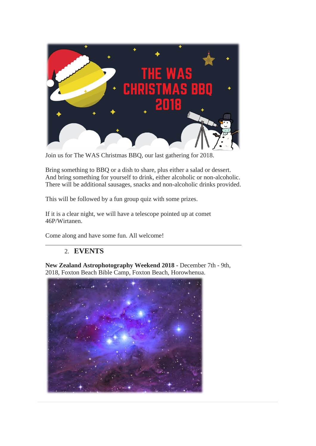

Join us for The WAS Christmas BBQ, our last gathering for 2018.

Bring something to BBQ or a dish to share, plus either a salad or dessert. And bring something for yourself to drink, either alcoholic or non-alcoholic. There will be additional sausages, snacks and non-alcoholic drinks provided.

This will be followed by a fun group quiz with some prizes.

If it is a clear night, we will have a telescope pointed up at comet 46P/Wirtanen.

Come along and have some fun. All welcome!

# 2. **EVENTS**

**New Zealand Astrophotography Weekend 2018 -** December 7th - 9th, 2018, Foxton Beach Bible Camp, Foxton Beach, Horowhenua.

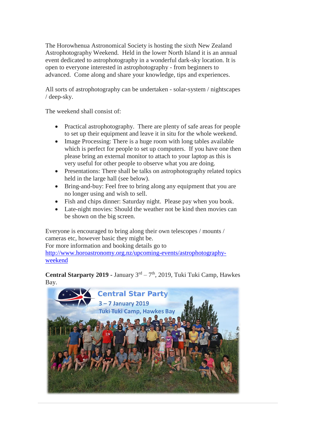The Horowhenua Astronomical Society is hosting the sixth New Zealand Astrophotography Weekend. Held in the lower North Island it is an annual event dedicated to astrophotography in a wonderful dark-sky location. It is open to everyone interested in astrophotography - from beginners to advanced. Come along and share your knowledge, tips and experiences.

All sorts of astrophotography can be undertaken - solar-system / nightscapes / deep-sky.

The weekend shall consist of:

- Practical astrophotography. There are plenty of safe areas for people to set up their equipment and leave it in situ for the whole weekend.
- Image Processing: There is a huge room with long tables available which is perfect for people to set up computers. If you have one then please bring an external monitor to attach to your laptop as this is very useful for other people to observe what you are doing.
- Presentations: There shall be talks on astrophotography related topics held in the large hall (see below).
- Bring-and-buy: Feel free to bring along any equipment that you are no longer using and wish to sell.
- Fish and chips dinner: Saturday night. Please pay when you book.
- Late-night movies: Should the weather not be kind then movies can be shown on the big screen.

Everyone is encouraged to bring along their own telescopes / mounts / cameras etc, however basic they might be.

For more information and booking details go to

[http://www.horoastronomy.org.nz/upcoming-events/astrophotography](http://www.horoastronomy.org.nz/upcoming-events/astrophotography-weekend)[weekend](http://www.horoastronomy.org.nz/upcoming-events/astrophotography-weekend)

Central Starparty 2019 - January 3<sup>rd</sup> – 7<sup>th</sup>, 2019, Tuki Tuki Camp, Hawkes Bay.

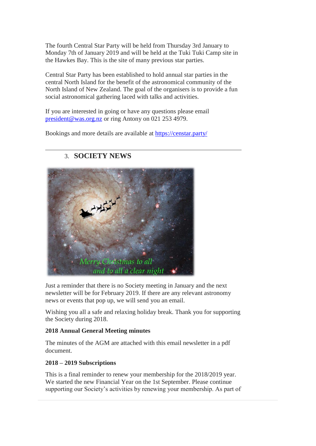The fourth Central Star Party will be held from Thursday 3rd January to Monday 7th of January 2019 and will be held at the Tuki Tuki Camp site in the Hawkes Bay. This is the site of many previous star parties.

Central Star Party has been established to hold annual star parties in the central North Island for the benefit of the astronomical community of the North Island of New Zealand. The goal of the organisers is to provide a fun social astronomical gathering laced with talks and activities.

If you are interested in going or have any questions please email [president@was.org.nz](mailto:president@was.org.nz) or ring Antony on 021 253 4979.

Bookings and more details are available at<https://censtar.party/>



## 3. **SOCIETY NEWS**

Just a reminder that there is no Society meeting in January and the next newsletter will be for February 2019. If there are any relevant astronomy news or events that pop up, we will send you an email.

Wishing you all a safe and relaxing holiday break. Thank you for supporting the Society during 2018.

### **2018 Annual General Meeting minutes**

The minutes of the AGM are attached with this email newsletter in a pdf document.

### **2018 – 2019 Subscriptions**

This is a final reminder to renew your membership for the 2018/2019 year. We started the new Financial Year on the 1st September. Please continue supporting our Society's activities by renewing your membership. As part of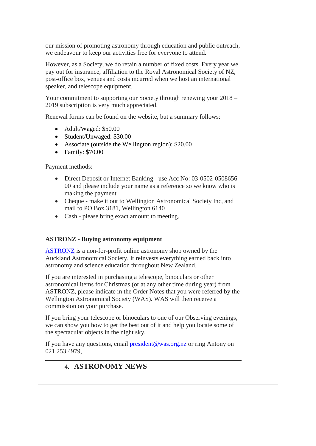our mission of promoting astronomy through education and public outreach, we endeavour to keep our activities free for everyone to attend.

However, as a Society, we do retain a number of fixed costs. Every year we pay out for insurance, affiliation to the Royal Astronomical Society of NZ, post-office box, venues and costs incurred when we host an international speaker, and telescope equipment.

Your commitment to supporting our Society through renewing your 2018 – 2019 subscription is very much appreciated.

Renewal forms can be found on the website, but a summary follows:

- Adult/Waged: \$50.00
- Student/Unwaged: \$30.00
- Associate (outside the Wellington region): \$20.00
- Family: \$70.00

Payment methods:

- Direct Deposit or Internet Banking use Acc No: 03-0502-0508656-00 and please include your name as a reference so we know who is making the payment
- Cheque make it out to Wellington Astronomical Society Inc, and mail to PO Box 3181, Wellington 6140
- Cash please bring exact amount to meeting.

#### **ASTRONZ - Buying astronomy equipment**

[ASTRONZ](https://www.astronz.nz/shop/) is a non-for-profit online astronomy shop owned by the Auckland Astronomical Society. It reinvests everything earned back into astronomy and science education throughout New Zealand.

If you are interested in purchasing a telescope, binoculars or other astronomical items for Christmas (or at any other time during year) from ASTRONZ, please indicate in the Order Notes that you were referred by the Wellington Astronomical Society (WAS). WAS will then receive a commission on your purchase.

If you bring your telescope or binoculars to one of our Observing evenings, we can show you how to get the best out of it and help you locate some of the spectacular objects in the night sky.

If you have any questions, email [president@was.org.nz](mailto:president@was.org.nz) or ring Antony on 021 253 4979,

# 4. **ASTRONOMY NEWS**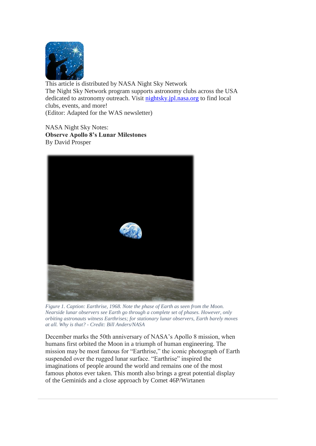

This article is distributed by NASA Night Sky Network The Night Sky Network program supports astronomy clubs across the USA dedicated to astronomy outreach. Visit [nightsky.jpl.nasa.org](http://nightsky.jpl.nasa.org/) to find local clubs, events, and more! (Editor: Adapted for the WAS newsletter)

NASA Night Sky Notes: **Observe Apollo 8's Lunar Milestones**  By David Prosper



*Figure 1. Caption: Earthrise, 1968. Note the phase of Earth as seen from the Moon. Nearside lunar observers see Earth go through a complete set of phases. However, only orbiting astronauts witness Earthrises; for stationary lunar observers, Earth barely moves at all. Why is that? - Credit: Bill Anders/NASA*

December marks the 50th anniversary of NASA's Apollo 8 mission, when humans first orbited the Moon in a triumph of human engineering. The mission may be most famous for "Earthrise," the iconic photograph of Earth suspended over the rugged lunar surface. "Earthrise" inspired the imaginations of people around the world and remains one of the most famous photos ever taken. This month also brings a great potential display of the Geminids and a close approach by Comet 46P/Wirtanen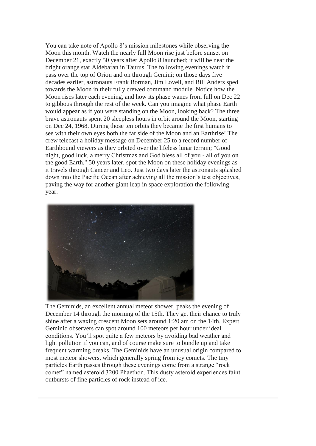You can take note of Apollo 8's mission milestones while observing the Moon this month. Watch the nearly full Moon rise just before sunset on December 21, exactly 50 years after Apollo 8 launched; it will be near the bright orange star Aldebaran in Taurus. The following evenings watch it pass over the top of Orion and on through Gemini; on those days five decades earlier, astronauts Frank Borman, Jim Lovell, and Bill Anders sped towards the Moon in their fully crewed command module. Notice how the Moon rises later each evening, and how its phase wanes from full on Dec 22 to gibbous through the rest of the week. Can you imagine what phase Earth would appear as if you were standing on the Moon, looking back? The three brave astronauts spent 20 sleepless hours in orbit around the Moon, starting on Dec 24, 1968. During those ten orbits they became the first humans to see with their own eyes both the far side of the Moon and an Earthrise! The crew telecast a holiday message on December 25 to a record number of Earthbound viewers as they orbited over the lifeless lunar terrain; "Good night, good luck, a merry Christmas and God bless all of you - all of you on the good Earth." 50 years later, spot the Moon on these holiday evenings as it travels through Cancer and Leo. Just two days later the astronauts splashed down into the Pacific Ocean after achieving all the mission's test objectives, paving the way for another giant leap in space exploration the following year.



The Geminids, an excellent annual meteor shower, peaks the evening of December 14 through the morning of the 15th. They get their chance to truly shine after a waxing crescent Moon sets around 1:20 am on the 14th. Expert Geminid observers can spot around 100 meteors per hour under ideal conditions. You'll spot quite a few meteors by avoiding bad weather and light pollution if you can, and of course make sure to bundle up and take frequent warming breaks. The Geminids have an unusual origin compared to most meteor showers, which generally spring from icy comets. The tiny particles Earth passes through these evenings come from a strange "rock comet" named asteroid 3200 Phaethon. This dusty asteroid experiences faint outbursts of fine particles of rock instead of ice.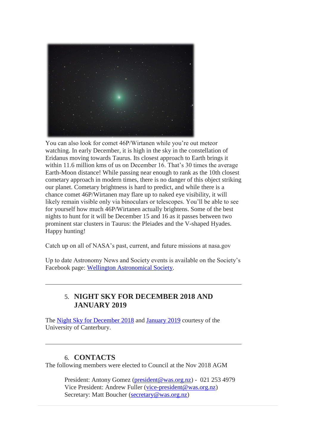

You can also look for comet 46P/Wirtanen while you're out meteor watching. In early December, it is high in the sky in the constellation of Eridanus moving towards Taurus. Its closest approach to Earth brings it within 11.6 million kms of us on December 16. That's 30 times the average Earth-Moon distance! While passing near enough to rank as the 10th closest cometary approach in modern times, there is no danger of this object striking our planet. Cometary brightness is hard to predict, and while there is a chance comet 46P/Wirtanen may flare up to naked eye visibility, it will likely remain visible only via binoculars or telescopes. You'll be able to see for yourself how much 46P/Wirtanen actually brightens. Some of the best nights to hunt for it will be December 15 and 16 as it passes between two prominent star clusters in Taurus: the Pleiades and the V-shaped Hyades. Happy hunting!

Catch up on all of NASA's past, current, and future missions at nasa.gov

Up to date Astronomy News and Society events is available on the Society's Facebook page: [Wellington Astronomical Society.](http://www.facebook.com/WellingtonAstronomicalSociety/)

### 5. **NIGHT SKY FOR DECEMBER 2018 AND JANUARY 2019**

The [Night Sky for December 2018](https://drive.google.com/open?id=1OyCKJH-XpUetVxr1jSwLeqsuSzfA6mKz) and [January 2019](https://drive.google.com/open?id=1kiWnoxqQixy4mUJJi6eZ0qdfFt6UDaMe) courtesy of the University of Canterbury.

### 6. **CONTACTS**

The following members were elected to Council at the Nov 2018 AGM

President: Antony Gomez [\(president@was.org.nz\)](mailto:president@was.org.nz) - 021 253 4979 Vice President: Andrew Fuller [\(vice-president@was.org.nz\)](mailto:vice-president@was.org.nz) Secretary: Matt Boucher [\(secretary@was.org.nz\)](mailto:secretary@was.org.nz)